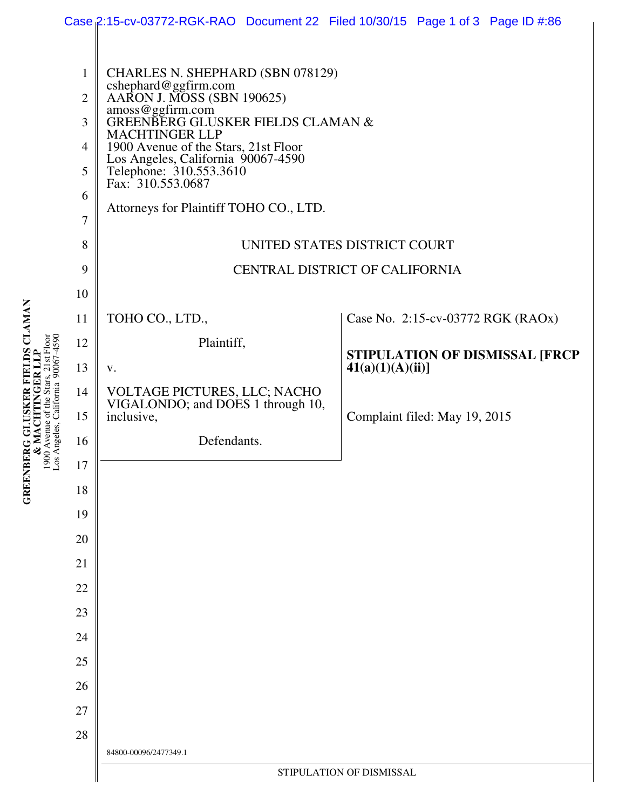|                                                                                                                                           |                                                                                                                                                       | Case 2:15-cv-03772-RGK-RAO Document 22 Filed 10/30/15 Page 1 of 3 Page ID #:86                                                                                                                                                                                                                                                                                                                                                                                                            |                                                                                                                                                                                               |
|-------------------------------------------------------------------------------------------------------------------------------------------|-------------------------------------------------------------------------------------------------------------------------------------------------------|-------------------------------------------------------------------------------------------------------------------------------------------------------------------------------------------------------------------------------------------------------------------------------------------------------------------------------------------------------------------------------------------------------------------------------------------------------------------------------------------|-----------------------------------------------------------------------------------------------------------------------------------------------------------------------------------------------|
| FIELDS CLAMAN<br>$065 -$<br>$21st$ Floor<br>90067<br>California<br><b>BERG GLUSKE</b><br>900 Avenue of the<br>os Angeles,<br><b>GREEN</b> | $\mathbf{1}$<br>$\overline{2}$<br>3<br>4<br>5<br>6<br>7<br>8<br>9<br>10<br>11<br>12<br>13<br>14<br>15<br>16<br>17<br>18<br>19<br>20<br>21<br>22<br>23 | CHARLES N. SHEPHARD (SBN 078129)<br>cshephard@ggfirm.com<br>AARON J. MOSS (SBN 190625)<br>amoss@ggfirm.com<br>GREENBERG GLUSKER FIELDS CLAMAN &<br><b>MACHTINGER LLP</b><br>1900 Avenue of the Stars, 21st Floor<br>Los Angeles, California 90067-4590<br>Telephone: 310.553.3610<br>Fax: 310.553.0687<br>Attorneys for Plaintiff TOHO CO., LTD.<br>TOHO CO., LTD.,<br>Plaintiff,<br>V.<br>VOLTAGE PICTURES, LLC; NACHO<br>VIGALONDO; and DOES 1 through 10,<br>inclusive,<br>Defendants. | UNITED STATES DISTRICT COURT<br>CENTRAL DISTRICT OF CALIFORNIA<br>Case No. 2:15-cv-03772 RGK (RAOx)<br>STIPULATION OF DISMISSAL [FRCP<br>$41(a)(1)(A)(ii)$ ]<br>Complaint filed: May 19, 2015 |
|                                                                                                                                           |                                                                                                                                                       |                                                                                                                                                                                                                                                                                                                                                                                                                                                                                           |                                                                                                                                                                                               |
|                                                                                                                                           |                                                                                                                                                       |                                                                                                                                                                                                                                                                                                                                                                                                                                                                                           |                                                                                                                                                                                               |
|                                                                                                                                           |                                                                                                                                                       |                                                                                                                                                                                                                                                                                                                                                                                                                                                                                           |                                                                                                                                                                                               |
|                                                                                                                                           |                                                                                                                                                       |                                                                                                                                                                                                                                                                                                                                                                                                                                                                                           |                                                                                                                                                                                               |
|                                                                                                                                           |                                                                                                                                                       |                                                                                                                                                                                                                                                                                                                                                                                                                                                                                           |                                                                                                                                                                                               |
|                                                                                                                                           |                                                                                                                                                       |                                                                                                                                                                                                                                                                                                                                                                                                                                                                                           |                                                                                                                                                                                               |
|                                                                                                                                           |                                                                                                                                                       |                                                                                                                                                                                                                                                                                                                                                                                                                                                                                           |                                                                                                                                                                                               |
|                                                                                                                                           |                                                                                                                                                       |                                                                                                                                                                                                                                                                                                                                                                                                                                                                                           |                                                                                                                                                                                               |
|                                                                                                                                           |                                                                                                                                                       |                                                                                                                                                                                                                                                                                                                                                                                                                                                                                           |                                                                                                                                                                                               |
|                                                                                                                                           |                                                                                                                                                       |                                                                                                                                                                                                                                                                                                                                                                                                                                                                                           |                                                                                                                                                                                               |
|                                                                                                                                           |                                                                                                                                                       |                                                                                                                                                                                                                                                                                                                                                                                                                                                                                           |                                                                                                                                                                                               |
|                                                                                                                                           | 24                                                                                                                                                    |                                                                                                                                                                                                                                                                                                                                                                                                                                                                                           |                                                                                                                                                                                               |
|                                                                                                                                           | 25                                                                                                                                                    |                                                                                                                                                                                                                                                                                                                                                                                                                                                                                           |                                                                                                                                                                                               |
|                                                                                                                                           | 26                                                                                                                                                    |                                                                                                                                                                                                                                                                                                                                                                                                                                                                                           |                                                                                                                                                                                               |
|                                                                                                                                           | 27                                                                                                                                                    |                                                                                                                                                                                                                                                                                                                                                                                                                                                                                           |                                                                                                                                                                                               |
|                                                                                                                                           | 28                                                                                                                                                    |                                                                                                                                                                                                                                                                                                                                                                                                                                                                                           |                                                                                                                                                                                               |
|                                                                                                                                           |                                                                                                                                                       | 84800-00096/2477349.1<br>STIPULATION OF DISMISSAL                                                                                                                                                                                                                                                                                                                                                                                                                                         |                                                                                                                                                                                               |
|                                                                                                                                           |                                                                                                                                                       |                                                                                                                                                                                                                                                                                                                                                                                                                                                                                           |                                                                                                                                                                                               |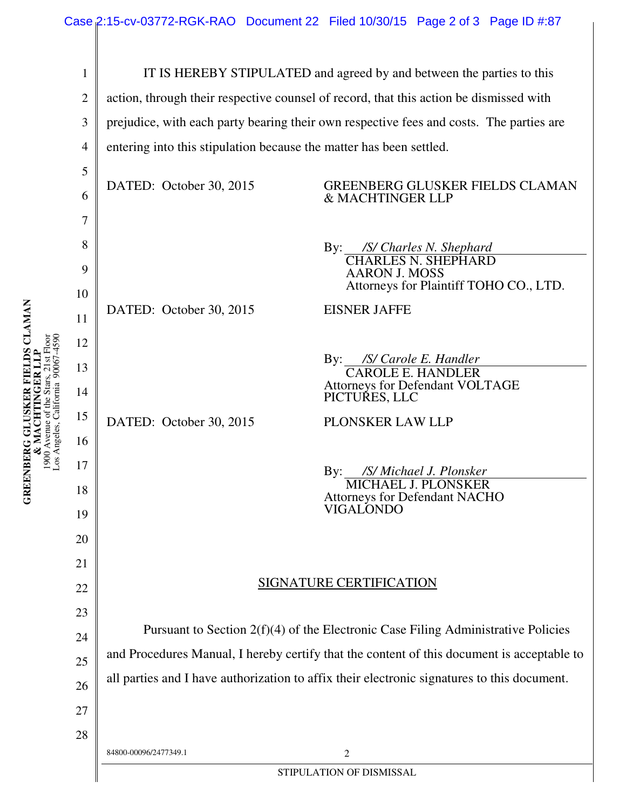| $\mathbf{1}$   | IT IS HEREBY STIPULATED and agreed by and between the parties to this                       |                                                                    |  |  |
|----------------|---------------------------------------------------------------------------------------------|--------------------------------------------------------------------|--|--|
| $\mathfrak{2}$ | action, through their respective counsel of record, that this action be dismissed with      |                                                                    |  |  |
| 3              | prejudice, with each party bearing their own respective fees and costs. The parties are     |                                                                    |  |  |
| $\overline{4}$ | entering into this stipulation because the matter has been settled.                         |                                                                    |  |  |
| 5              |                                                                                             |                                                                    |  |  |
| 6              | DATED: October 30, 2015                                                                     | <b>GREENBERG GLUSKER FIELDS CLAMAN</b><br>& MACHTINGER LLP         |  |  |
| 7              |                                                                                             |                                                                    |  |  |
| 8              |                                                                                             | By: /S/ Charles N. Shephard<br>CHARLES N. SHEPHARD                 |  |  |
| 9              |                                                                                             | <b>AARON J. MOSS</b>                                               |  |  |
| 10             |                                                                                             | Attorneys for Plaintiff TOHO CO., LTD.                             |  |  |
| 11             | DATED: October 30, 2015                                                                     | <b>EISNER JAFFE</b>                                                |  |  |
| 12             |                                                                                             |                                                                    |  |  |
| 13             |                                                                                             | By: /S/ Carole E. Handler<br><b>CAROLE E. HANDLER</b>              |  |  |
| 14             |                                                                                             | Attorneys for Defendant VOLTAGE<br>PICTURES, LLC                   |  |  |
| 15             | DATED: October 30, 2015                                                                     | PLONSKER LAW LLP                                                   |  |  |
| 16             |                                                                                             |                                                                    |  |  |
| 17             |                                                                                             | /S/ Michael J. Plonsker<br>$\mathbf{By:}$                          |  |  |
| 18             |                                                                                             | <b>MICHAEL J. PLONSKER</b><br><b>Attorneys for Defendant NACHO</b> |  |  |
| 19             |                                                                                             | VIGALONDO                                                          |  |  |
| 20             |                                                                                             |                                                                    |  |  |
| 21             |                                                                                             |                                                                    |  |  |
| 22             | <b>SIGNATURE CERTIFICATION</b>                                                              |                                                                    |  |  |
| 23             |                                                                                             |                                                                    |  |  |
| 24             | Pursuant to Section $2(f)(4)$ of the Electronic Case Filing Administrative Policies         |                                                                    |  |  |
| 25             | and Procedures Manual, I hereby certify that the content of this document is acceptable to  |                                                                    |  |  |
| 26             | all parties and I have authorization to affix their electronic signatures to this document. |                                                                    |  |  |
| 27             |                                                                                             |                                                                    |  |  |
| 28             |                                                                                             |                                                                    |  |  |
|                | 84800-00096/2477349.1                                                                       | $\mathbf{2}$                                                       |  |  |
|                | STIPULATION OF DISMISSAL                                                                    |                                                                    |  |  |